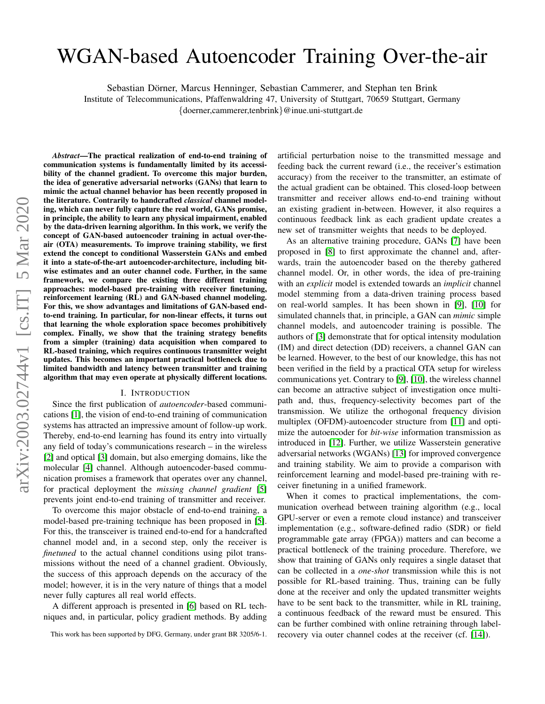# WGAN-based Autoencoder Training Over-the-air

Sebastian Dörner, Marcus Henninger, Sebastian Cammerer, and Stephan ten Brink Institute of Telecommunications, Pfaffenwaldring 47, University of Stuttgart, 70659 Stuttgart, Germany

{doerner,cammerer,tenbrink}@inue.uni-stuttgart.de

*Abstract*—The practical realization of end-to-end training of communication systems is fundamentally limited by its accessibility of the channel gradient. To overcome this major burden, the idea of generative adversarial networks (GANs) that learn to mimic the actual channel behavior has been recently proposed in the literature. Contrarily to handcrafted *classical* channel modeling, which can never fully capture the real world, GANs promise, in principle, the ability to learn any physical impairment, enabled by the data-driven learning algorithm. In this work, we verify the concept of GAN-based autoencoder training in actual over-theair (OTA) measurements. To improve training stability, we first extend the concept to conditional Wasserstein GANs and embed it into a state-of-the-art autoencoder-architecture, including bitwise estimates and an outer channel code. Further, in the same framework, we compare the existing three different training approaches: model-based pre-training with receiver finetuning, reinforcement learning (RL) and GAN-based channel modeling. For this, we show advantages and limitations of GAN-based endto-end training. In particular, for non-linear effects, it turns out that learning the whole exploration space becomes prohibitively complex. Finally, we show that the training strategy benefits from a simpler (training) data acquisition when compared to RL-based training, which requires continuous transmitter weight updates. This becomes an important practical bottleneck due to limited bandwidth and latency between transmitter and training algorithm that may even operate at physically different locations.

#### I. INTRODUCTION

Since the first publication of *autoencoder*-based communications [\[1\]](#page-4-0), the vision of end-to-end training of communication systems has attracted an impressive amount of follow-up work. Thereby, end-to-end learning has found its entry into virtually any field of today's communications research – in the wireless [\[2\]](#page-4-1) and optical [\[3\]](#page-4-2) domain, but also emerging domains, like the molecular [\[4\]](#page-4-3) channel. Although autoencoder-based communication promises a framework that operates over any channel, for practical deployment the *missing channel gradient* [\[5\]](#page-4-4) prevents joint end-to-end training of transmitter and receiver.

To overcome this major obstacle of end-to-end training, a model-based pre-training technique has been proposed in [\[5\]](#page-4-4). For this, the transceiver is trained end-to-end for a handcrafted channel model and, in a second step, only the receiver is *finetuned* to the actual channel conditions using pilot transmissions without the need of a channel gradient. Obviously, the success of this approach depends on the accuracy of the model; however, it is in the very nature of things that a model never fully captures all real world effects.

A different approach is presented in [\[6\]](#page-4-5) based on RL techniques and, in particular, policy gradient methods. By adding artificial perturbation noise to the transmitted message and feeding back the current reward (i.e., the receiver's estimation accuracy) from the receiver to the transmitter, an estimate of the actual gradient can be obtained. This closed-loop between transmitter and receiver allows end-to-end training without an existing gradient in-between. However, it also requires a continuous feedback link as each gradient update creates a new set of transmitter weights that needs to be deployed.

As an alternative training procedure, GANs [\[7\]](#page-4-6) have been proposed in [\[8\]](#page-4-7) to first approximate the channel and, afterwards, train the autoencoder based on the thereby gathered channel model. Or, in other words, the idea of pre-training with an *explicit* model is extended towards an *implicit* channel model stemming from a data-driven training process based on real-world samples. It has been shown in [\[9\]](#page-4-8), [\[10\]](#page-4-9) for simulated channels that, in principle, a GAN can *mimic* simple channel models, and autoencoder training is possible. The authors of [\[3\]](#page-4-2) demonstrate that for optical intensity modulation (IM) and direct detection (DD) receivers, a channel GAN can be learned. However, to the best of our knowledge, this has not been verified in the field by a practical OTA setup for wireless communications yet. Contrary to [\[9\]](#page-4-8), [\[10\]](#page-4-9), the wireless channel can become an attractive subject of investigation once multipath and, thus, frequency-selectivity becomes part of the transmission. We utilize the orthogonal frequency division multiplex (OFDM)-autoencoder structure from [\[11\]](#page-4-10) and optimize the autoencoder for *bit-wise* information transmission as introduced in [\[12\]](#page-4-11). Further, we utilize Wasserstein generative adversarial networks (WGANs) [\[13\]](#page-4-12) for improved convergence and training stability. We aim to provide a comparison with reinforcement learning and model-based pre-training with receiver finetuning in a unified framework.

When it comes to practical implementations, the communication overhead between training algorithm (e.g., local GPU-server or even a remote cloud instance) and transceiver implementation (e.g., software-defined radio (SDR) or field programmable gate array (FPGA)) matters and can become a practical bottleneck of the training procedure. Therefore, we show that training of GANs only requires a single dataset that can be collected in a *one-shot* transmission while this is not possible for RL-based training. Thus, training can be fully done at the receiver and only the updated transmitter weights have to be sent back to the transmitter, while in RL training, a continuous feedback of the reward must be ensured. This can be further combined with online retraining through labelrecovery via outer channel codes at the receiver (cf. [\[14\]](#page-4-13)).

This work has been supported by DFG, Germany, under grant BR 3205/6-1.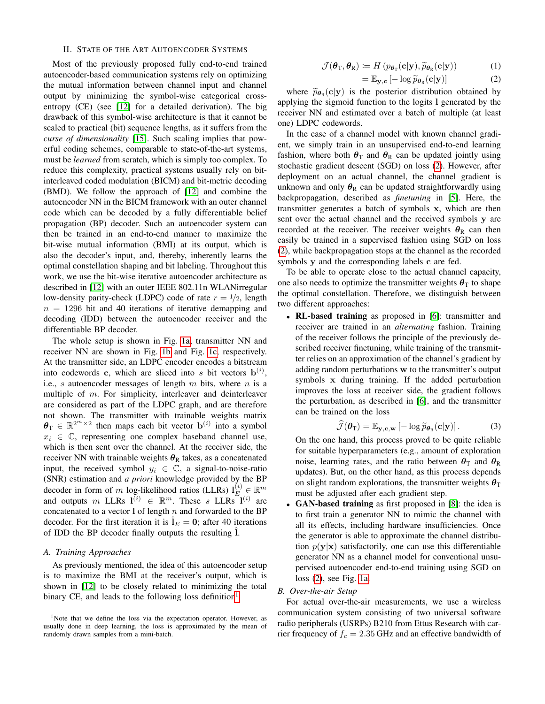## II. STATE OF THE ART AUTOENCODER SYSTEMS

Most of the previously proposed fully end-to-end trained autoencoder-based communication systems rely on optimizing the mutual information between channel input and channel output by minimizing the symbol-wise categorical crossentropy (CE) (see [\[12\]](#page-4-11) for a detailed derivation). The big drawback of this symbol-wise architecture is that it cannot be scaled to practical (bit) sequence lengths, as it suffers from the *curse of dimensionality* [\[15\]](#page-4-14). Such scaling implies that powerful coding schemes, comparable to state-of-the-art systems, must be *learned* from scratch, which is simply too complex. To reduce this complexity, practical systems usually rely on bitinterleaved coded modulation (BICM) and bit-metric decoding (BMD). We follow the approach of [\[12\]](#page-4-11) and combine the autoencoder NN in the BICM framework with an outer channel code which can be decoded by a fully differentiable belief propagation (BP) decoder. Such an autoencoder system can then be trained in an end-to-end manner to maximize the bit-wise mutual information (BMI) at its output, which is also the decoder's input, and, thereby, inherently learns the optimal constellation shaping and bit labeling. Throughout this work, we use the bit-wise iterative autoencoder architecture as described in [\[12\]](#page-4-11) with an outer IEEE 802.11n WLANirregular low-density parity-check (LDPC) code of rate  $r = \frac{1}{2}$ , length  $n = 1296$  bit and 40 iterations of iterative demapping and decoding (IDD) between the autoencoder receiver and the differentiable BP decoder.

The whole setup is shown in Fig. [1a;](#page-2-0) transmitter NN and receiver NN are shown in Fig. [1b](#page-2-0) and Fig. [1c,](#page-2-0) respectively. At the transmitter side, an LDPC encoder encodes a bitstream into codewords c, which are sliced into s bit vectors  $\mathbf{b}^{(i)}$ , i.e., s autoencoder messages of length  $m$  bits, where  $n$  is a multiple of m. For simplicity, interleaver and deinterleaver are considered as part of the LDPC graph, and are therefore not shown. The transmitter with trainable weights matrix  $\boldsymbol{\theta}_{\text{T}} \in \mathbb{R}^{2^m \times 2}$  then maps each bit vector  $\mathbf{b}^{(i)}$  into a symbol  $x_i \in \mathbb{C}$ , representing one complex baseband channel use, which is then sent over the channel. At the receiver side, the receiver NN with trainable weights  $\theta_R$  takes, as a concatenated input, the received symbol  $y_i \in \mathbb{C}$ , a signal-to-noise-ratio (SNR) estimation and *a priori* knowledge provided by the BP decoder in form of m log-likelihood ratios (LLRs)  $l_E^{(i)} \in \mathbb{R}^m$ and outputs m LLRs  $I^{(i)} \in \mathbb{R}^m$ . These s LLRs  $I^{(i)}$  are concatenated to a vector  $l$  of length n and forwarded to the BP decoder. For the first iteration it is  $\hat{I}_E = 0$ ; after 40 iterations of IDD the BP decoder finally outputs the resulting  $\hat{l}$ .

## <span id="page-1-2"></span>*A. Training Approaches*

As previously mentioned, the idea of this autoencoder setup is to maximize the BMI at the receiver's output, which is shown in [\[12\]](#page-4-11) to be closely related to minimizing the total binary CE, and leads to the following loss definition<sup>[1](#page-1-0)</sup>

$$
\mathcal{J}(\boldsymbol{\theta}_{\mathrm{T}}, \boldsymbol{\theta}_{\mathrm{R}}) := H\left(p_{\boldsymbol{\theta}_{\mathrm{T}}}(\mathbf{c}|\mathbf{y}), \widetilde{p}_{\boldsymbol{\theta}_{\mathrm{R}}}(\mathbf{c}|\mathbf{y})\right) \tag{1}
$$

<span id="page-1-1"></span>
$$
= \mathbb{E}_{\mathbf{y},\mathbf{c}} \left[ -\log \widetilde{p}_{\theta_{\mathbf{R}}}(\mathbf{c}|\mathbf{y}) \right]
$$
(2)

where  $\widetilde{p}_{\theta_R}(c|y)$  is the posterior distribution obtained by<br>plying the sigmoid function to the logits l generated by the applying the sigmoid function to the logits l generated by the receiver NN and estimated over a batch of multiple (at least one) LDPC codewords.

In the case of a channel model with known channel gradient, we simply train in an unsupervised end-to-end learning fashion, where both  $\theta_T$  and  $\theta_R$  can be updated jointly using stochastic gradient descent (SGD) on loss [\(2\)](#page-1-1). However, after deployment on an actual channel, the channel gradient is unknown and only  $\theta_R$  can be updated straightforwardly using backpropagation, described as *finetuning* in [\[5\]](#page-4-4). Here, the transmitter generates a batch of symbols x, which are then sent over the actual channel and the received symbols y are recorded at the receiver. The receiver weights  $\theta_R$  can then easily be trained in a supervised fashion using SGD on loss [\(2\)](#page-1-1), while backpropagation stops at the channel as the recorded symbols y and the corresponding labels c are fed.

To be able to operate close to the actual channel capacity, one also needs to optimize the transmitter weights  $\theta_T$  to shape the optimal constellation. Therefore, we distinguish between two different approaches:

• RL-based training as proposed in [\[6\]](#page-4-5): transmitter and receiver are trained in an *alternating* fashion. Training of the receiver follows the principle of the previously described receiver finetuning, while training of the transmitter relies on an approximation of the channel's gradient by adding random perturbations w to the transmitter's output symbols x during training. If the added perturbation improves the loss at receiver side, the gradient follows the perturbation, as described in [\[6\]](#page-4-5), and the transmitter can be trained on the loss

$$
\widehat{\mathcal{J}}(\boldsymbol{\theta}_{\mathrm{T}}) = \mathbb{E}_{\mathbf{y}, \mathbf{c}, \mathbf{w}} \left[ -\log \widetilde{p}_{\boldsymbol{\theta}_{\mathrm{R}}}(\mathbf{c}|\mathbf{y}) \right]. \tag{3}
$$

On the one hand, this process proved to be quite reliable for suitable hyperparameters (e.g., amount of exploration noise, learning rates, and the ratio between  $\theta_T$  and  $\theta_R$ updates). But, on the other hand, as this process depends on slight random explorations, the transmitter weights  $\theta_T$ must be adjusted after each gradient step.

• GAN-based training as first proposed in [\[8\]](#page-4-7): the idea is to first train a generator NN to mimic the channel with all its effects, including hardware insufficiencies. Once the generator is able to approximate the channel distribution  $p(\mathbf{y}|\mathbf{x})$  satisfactorily, one can use this differentiable generator NN as a channel model for conventional unsupervised autoencoder end-to-end training using SGD on loss [\(2\)](#page-1-1), see Fig. [1a.](#page-2-0)

## *B. Over-the-air Setup*

For actual over-the-air measurements, we use a wireless communication system consisting of two universal software radio peripherals (USRPs) B210 from Ettus Research with carrier frequency of  $f_c = 2.35$  GHz and an effective bandwidth of

<span id="page-1-0"></span><sup>&</sup>lt;sup>1</sup>Note that we define the loss via the expectation operator. However, as usually done in deep learning, the loss is approximated by the mean of randomly drawn samples from a mini-batch.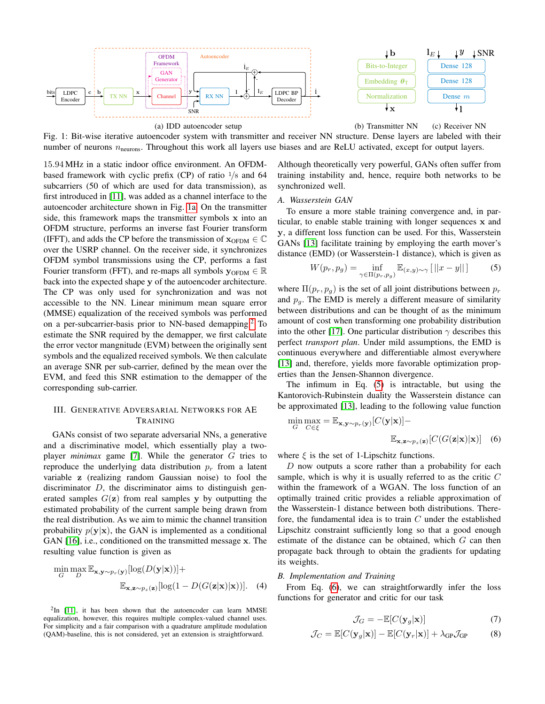<span id="page-2-0"></span>

Fig. 1: Bit-wise iterative autoencoder system with transmitter and receiver NN structure. Dense layers are labeled with their number of neurons  $n_{\text{neurons}}$ . Throughout this work all layers use biases and are ReLU activated, except for output layers.

15.94 MHz in a static indoor office environment. An OFDMbased framework with cyclic prefix (CP) of ratio  $\frac{1}{8}$  and 64 subcarriers (50 of which are used for data transmission), as first introduced in [\[11\]](#page-4-10), was added as a channel interface to the autoencoder architecture shown in Fig. [1a.](#page-2-0) On the transmitter side, this framework maps the transmitter symbols x into an OFDM structure, performs an inverse fast Fourier transform (IFFT), and adds the CP before the transmission of  $\mathbf{x}_{\text{OFDM}} \in \mathbb{C}$ over the USRP channel. On the receiver side, it synchronizes OFDM symbol transmissions using the CP, performs a fast Fourier transform (FFT), and re-maps all symbols  $y_{OFDM} \in \mathbb{R}$ back into the expected shape y of the autoencoder architecture. The CP was only used for synchronization and was not accessible to the NN. Linear minimum mean square error (MMSE) equalization of the received symbols was performed on a per-subcarrier-basis prior to NN-based demapping.<sup>[2](#page-2-1)</sup> To estimate the SNR required by the demapper, we first calculate the error vector mangnitude (EVM) between the originally sent symbols and the equalized received symbols. We then calculate an average SNR per sub-carrier, defined by the mean over the EVM, and feed this SNR estimation to the demapper of the corresponding sub-carrier.

# III. GENERATIVE ADVERSARIAL NETWORKS FOR AE TRAINING

GANs consist of two separate adversarial NNs, a generative and a discriminative model, which essentially play a twoplayer *minimax* game [\[7\]](#page-4-6). While the generator G tries to reproduce the underlying data distribution  $p_r$  from a latent variable z (realizing random Gaussian noise) to fool the discriminator  $D$ , the discriminator aims to distinguish generated samples  $G(\mathbf{z})$  from real samples y by outputting the estimated probability of the current sample being drawn from the real distribution. As we aim to mimic the channel transition probability  $p(\mathbf{y}|\mathbf{x})$ , the GAN is implemented as a conditional GAN [\[16\]](#page-4-15), i.e., conditioned on the transmitted message x. The resulting value function is given as

$$
\min_{G} \max_{D} \mathbb{E}_{\mathbf{x}, \mathbf{y} \sim p_r(\mathbf{y})} [\log(D(\mathbf{y}|\mathbf{x}))] +
$$
  

$$
\mathbb{E}_{\mathbf{x}, \mathbf{z} \sim p_z(\mathbf{z})} [\log(1 - D(G(\mathbf{z}|\mathbf{x})|\mathbf{x}))].
$$
 (4)

<span id="page-2-1"></span> $2$ In [\[11\]](#page-4-10), it has been shown that the autoencoder can learn MMSE equalization, however, this requires multiple complex-valued channel uses. For simplicity and a fair comparison with a quadrature amplitude modulation (QAM)-baseline, this is not considered, yet an extension is straightforward.

Although theoretically very powerful, GANs often suffer from training instability and, hence, require both networks to be synchronized well.

#### *A. Wasserstein GAN*

To ensure a more stable training convergence and, in particular, to enable stable training with longer sequences x and y, a different loss function can be used. For this, Wasserstein GANs [\[13\]](#page-4-12) facilitate training by employing the earth mover's distance (EMD) (or Wasserstein-1 distance), which is given as

<span id="page-2-2"></span>
$$
W(p_r, p_g) = \inf_{\gamma \in \Pi(p_r, p_g)} \mathbb{E}_{(x, y) \sim \gamma} [||x - y||] \tag{5}
$$

where  $\Pi(p_r, p_q)$  is the set of all joint distributions between  $p_r$ and  $p_{q}$ . The EMD is merely a different measure of similarity between distributions and can be thought of as the minimum amount of cost when transforming one probability distribution into the other [\[17\]](#page-4-16). One particular distribution  $\gamma$  describes this perfect *transport plan*. Under mild assumptions, the EMD is continuous everywhere and differentiable almost everywhere [\[13\]](#page-4-12) and, therefore, yields more favorable optimization properties than the Jensen-Shannon divergence.

The infimum in Eq. [\(5\)](#page-2-2) is intractable, but using the Kantorovich-Rubinstein duality the Wasserstein distance can be approximated [\[13\]](#page-4-12), leading to the following value function

<span id="page-2-3"></span>
$$
\min_{G} \max_{C \in \xi} = \mathbb{E}_{\mathbf{x}, \mathbf{y} \sim p_r(\mathbf{y})} [C(\mathbf{y}|\mathbf{x})] -
$$

$$
\mathbb{E}_{\mathbf{x}, \mathbf{z} \sim p_z(\mathbf{z})} [C(G(\mathbf{z}|\mathbf{x})|\mathbf{x})] \quad (6)
$$

where  $\xi$  is the set of 1-Lipschitz functions.

D now outputs a score rather than a probability for each sample, which is why it is usually referred to as the critic  $C$ within the framework of a WGAN. The loss function of an optimally trained critic provides a reliable approximation of the Wasserstein-1 distance between both distributions. Therefore, the fundamental idea is to train  $C$  under the established Lipschitz constraint sufficiently long so that a good enough estimate of the distance can be obtained, which G can then propagate back through to obtain the gradients for updating its weights.

## *B. Implementation and Training*

From Eq. [\(6\)](#page-2-3), we can straightforwardly infer the loss functions for generator and critic for our task

<span id="page-2-5"></span>
$$
\mathcal{J}_G = -\mathbb{E}[C(\mathbf{y}_g|\mathbf{x})] \tag{7}
$$

<span id="page-2-4"></span>
$$
\mathcal{J}_C = \mathbb{E}[C(\mathbf{y}_g|\mathbf{x})] - \mathbb{E}[C(\mathbf{y}_r|\mathbf{x})] + \lambda_{\text{GP}}\mathcal{J}_{\text{GP}}\tag{8}
$$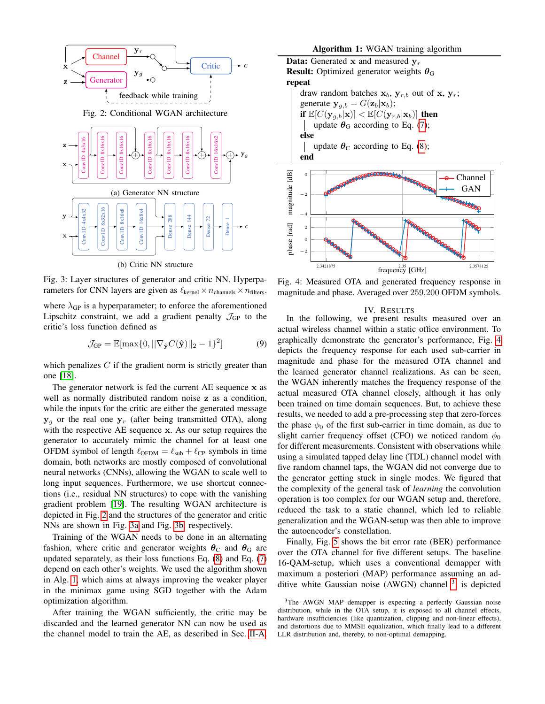<span id="page-3-1"></span><span id="page-3-0"></span>

Fig. 3: Layer structures of generator and critic NN. Hyperparameters for CNN layers are given as  $\ell_{\text{kernel}} \times n_{\text{channels}} \times n_{\text{filters}}$ . where  $\lambda_{GP}$  is a hyperparameter; to enforce the aforementioned Lipschitz constraint, we add a gradient penalty  $\mathcal{J}_{GP}$  to the critic's loss function defined as

$$
\mathcal{J}_{GP} = \mathbb{E}[\max\{0, ||\nabla_{\hat{\mathbf{y}}} C(\hat{\mathbf{y}})||_2 - 1\}^2]
$$
(9)

which penalizes  $C$  if the gradient norm is strictly greater than one [\[18\]](#page-4-17).

The generator network is fed the current AE sequence x as well as normally distributed random noise z as a condition, while the inputs for the critic are either the generated message  $y_q$  or the real one  $y_r$  (after being transmitted OTA), along with the respective AE sequence x. As our setup requires the generator to accurately mimic the channel for at least one OFDM symbol of length  $\ell_{\text{OFDM}} = \ell_{\text{sub}} + \ell_{\text{CP}}$  symbols in time domain, both networks are mostly composed of convolutional neural networks (CNNs), allowing the WGAN to scale well to long input sequences. Furthermore, we use shortcut connections (i.e., residual NN structures) to cope with the vanishing gradient problem [\[19\]](#page-4-18). The resulting WGAN architecture is depicted in Fig. [2](#page-3-0) and the structures of the generator and critic NNs are shown in Fig. [3a](#page-3-1) and Fig. [3b,](#page-3-1) respectively.

Training of the WGAN needs to be done in an alternating fashion, where critic and generator weights  $\theta_{\rm C}$  and  $\theta_{\rm G}$  are updated separately, as their loss functions Eq. [\(8\)](#page-2-4) and Eq. [\(7\)](#page-2-5) depend on each other's weights. We used the algorithm shown in Alg. [1,](#page-3-2) which aims at always improving the weaker player in the minimax game using SGD together with the Adam optimization algorithm.

After training the WGAN sufficiently, the critic may be discarded and the learned generator NN can now be used as the channel model to train the AE, as described in Sec. [II-A.](#page-1-2)



<span id="page-3-3"></span><span id="page-3-2"></span>2.3421875 2.3578125<br> **frequency** [GHz] 2.3578125 Fig. 4: Measured OTA and generated frequency response in magnitude and phase. Averaged over 259,200 OFDM symbols.

#### IV. RESULTS

In the following, we present results measured over an actual wireless channel within a static office environment. To graphically demonstrate the generator's performance, Fig. [4](#page-3-3) depicts the frequency response for each used sub-carrier in magnitude and phase for the measured OTA channel and the learned generator channel realizations. As can be seen, the WGAN inherently matches the frequency response of the actual measured OTA channel closely, although it has only been trained on time domain sequences. But, to achieve these results, we needed to add a pre-processing step that zero-forces the phase  $\phi_0$  of the first sub-carrier in time domain, as due to slight carrier frequency offset (CFO) we noticed random  $\phi_0$ for different measurements. Consistent with observations while using a simulated tapped delay line (TDL) channel model with five random channel taps, the WGAN did not converge due to the generator getting stuck in single modes. We figured that the complexity of the general task of *learning* the convolution operation is too complex for our WGAN setup and, therefore, reduced the task to a static channel, which led to reliable generalization and the WGAN-setup was then able to improve the autoencoder's constellation.

Finally, Fig. [5](#page-4-19) shows the bit error rate (BER) performance over the OTA channel for five different setups. The baseline 16-QAM-setup, which uses a conventional demapper with maximum a posteriori (MAP) performance assuming an ad-ditive white Gaussian noise (AWGN) channel <sup>[3](#page-3-4)</sup>, is depicted

<span id="page-3-4"></span><sup>&</sup>lt;sup>3</sup>The AWGN MAP demapper is expecting a perfectly Gaussian noise distribution, while in the OTA setup, it is exposed to all channel effects, hardware insufficiencies (like quantization, clipping and non-linear effects), and distortions due to MMSE equalization, which finally lead to a different LLR distribution and, thereby, to non-optimal demapping.